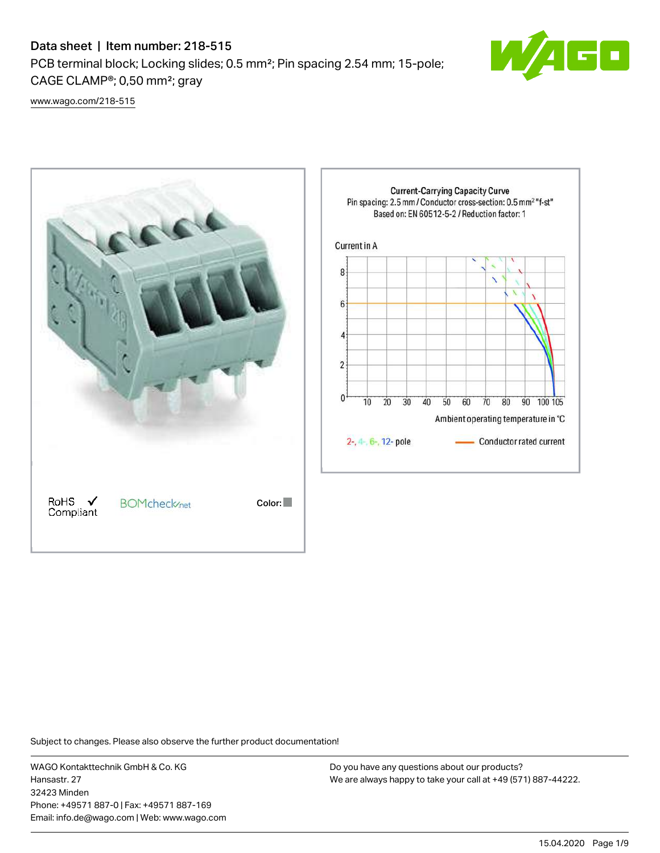## Data sheet | Item number: 218-515

PCB terminal block; Locking slides; 0.5 mm²; Pin spacing 2.54 mm; 15-pole; CAGE CLAMP®; 0,50 mm²; gray



[www.wago.com/218-515](http://www.wago.com/218-515)



Subject to changes. Please also observe the further product documentation!

WAGO Kontakttechnik GmbH & Co. KG Hansastr. 27 32423 Minden Phone: +49571 887-0 | Fax: +49571 887-169 Email: info.de@wago.com | Web: www.wago.com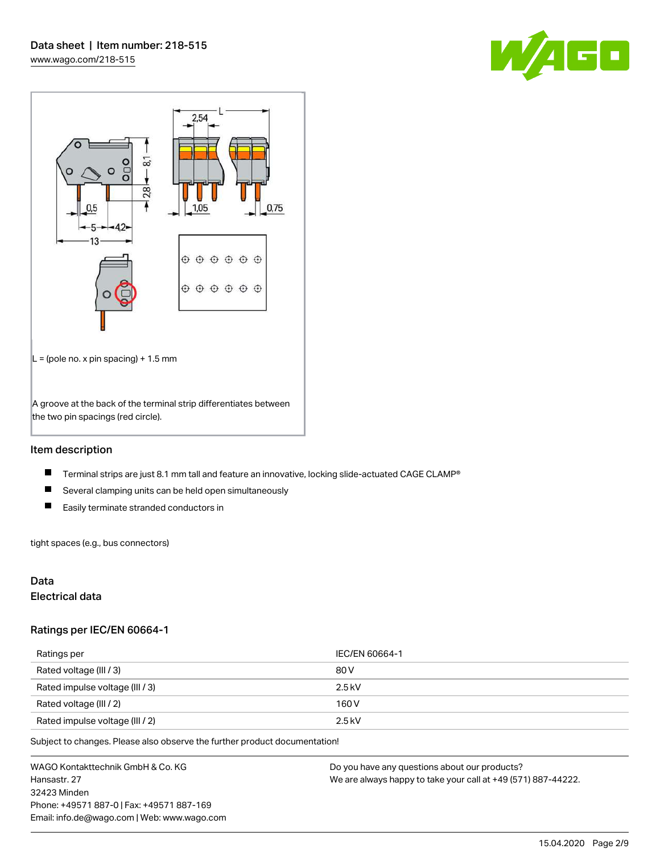



#### Item description

- $\blacksquare$ Terminal strips are just 8.1 mm tall and feature an innovative, locking slide-actuated CAGE CLAMP®
- $\blacksquare$ Several clamping units can be held open simultaneously
- $\blacksquare$ Easily terminate stranded conductors in

tight spaces (e.g., bus connectors)

#### Data

## Electrical data

#### Ratings per IEC/EN 60664-1

| Ratings per                     | IEC/EN 60664-1 |
|---------------------------------|----------------|
| Rated voltage (III / 3)         | 80 V           |
| Rated impulse voltage (III / 3) | $2.5$ kV       |
| Rated voltage (III / 2)         | 160 V          |
| Rated impulse voltage (III / 2) | $2.5$ kV       |

Subject to changes. Please also observe the further product documentation!

WAGO Kontakttechnik GmbH & Co. KG Hansastr. 27 32423 Minden Phone: +49571 887-0 | Fax: +49571 887-169 Email: info.de@wago.com | Web: www.wago.com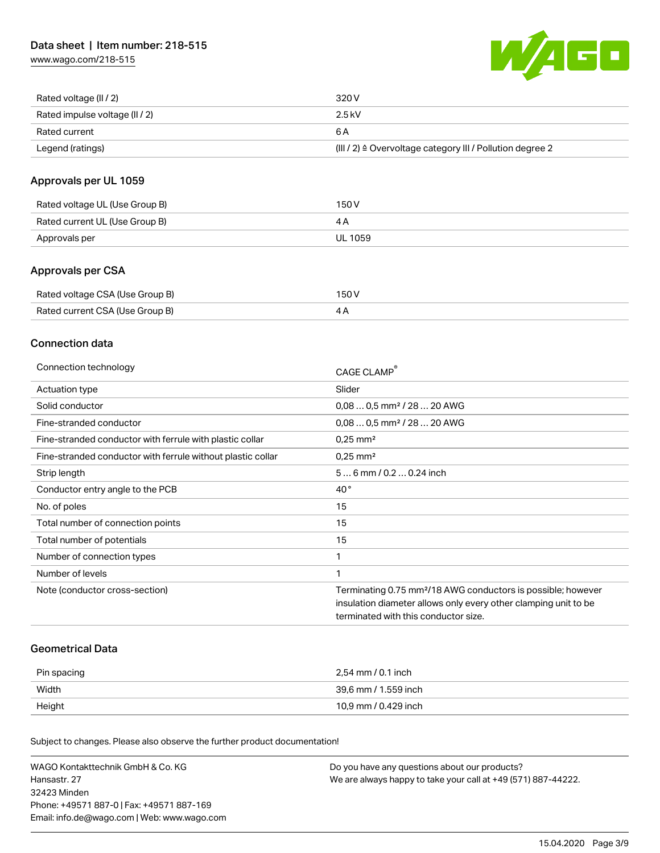[www.wago.com/218-515](http://www.wago.com/218-515)



| Rated voltage (II / 2)         | 320 V                                                                 |
|--------------------------------|-----------------------------------------------------------------------|
| Rated impulse voltage (II / 2) | 2.5 kV                                                                |
| Rated current                  | 6 A                                                                   |
| Legend (ratings)               | $(III / 2)$ $\triangle$ Overvoltage category III / Pollution degree 2 |

## Approvals per UL 1059

| Rated voltage UL (Use Group B) | 150 V   |
|--------------------------------|---------|
| Rated current UL (Use Group B) |         |
| Approvals per                  | UL 1059 |

#### Approvals per CSA

| Rated voltage CSA (Use Group B) | 150 V |
|---------------------------------|-------|
| Rated current CSA (Use Group B) | 4Α    |

#### Connection data

| Connection technology                                       | CAGE CLAMP <sup>®</sup>                                                  |
|-------------------------------------------------------------|--------------------------------------------------------------------------|
| Actuation type                                              | Slider                                                                   |
| Solid conductor                                             | $0.080.5$ mm <sup>2</sup> / 28  20 AWG                                   |
| Fine-stranded conductor                                     | $0.080.5$ mm <sup>2</sup> / 28  20 AWG                                   |
| Fine-stranded conductor with ferrule with plastic collar    | $0.25$ mm <sup>2</sup>                                                   |
| Fine-stranded conductor with ferrule without plastic collar | $0.25$ mm <sup>2</sup>                                                   |
| Strip length                                                | $56$ mm $/ 0.20.24$ inch                                                 |
| Conductor entry angle to the PCB                            | $40^{\circ}$                                                             |
| No. of poles                                                | 15                                                                       |
| Total number of connection points                           | 15                                                                       |
| Total number of potentials                                  | 15                                                                       |
| Number of connection types                                  | 1                                                                        |
| Number of levels                                            | 1                                                                        |
| Note (conductor cross-section)                              | Terminating 0.75 mm <sup>2</sup> /18 AWG conductors is possible; however |
|                                                             | insulation diameter allows only every other clamping unit to be          |
|                                                             | terminated with this conductor size.                                     |

#### Geometrical Data

| Pin spacing | 2,54 mm / 0.1 inch   |
|-------------|----------------------|
| Width       | 39,6 mm / 1.559 inch |
| Height      | 10,9 mm / 0.429 inch |

Subject to changes. Please also observe the further product documentation!

| WAGO Kontakttechnik GmbH & Co. KG           | Do you have any questions about our products?                 |
|---------------------------------------------|---------------------------------------------------------------|
| Hansastr. 27                                | We are always happy to take your call at +49 (571) 887-44222. |
| 32423 Minden                                |                                                               |
| Phone: +49571 887-01 Fax: +49571 887-169    |                                                               |
| Email: info.de@wago.com   Web: www.wago.com |                                                               |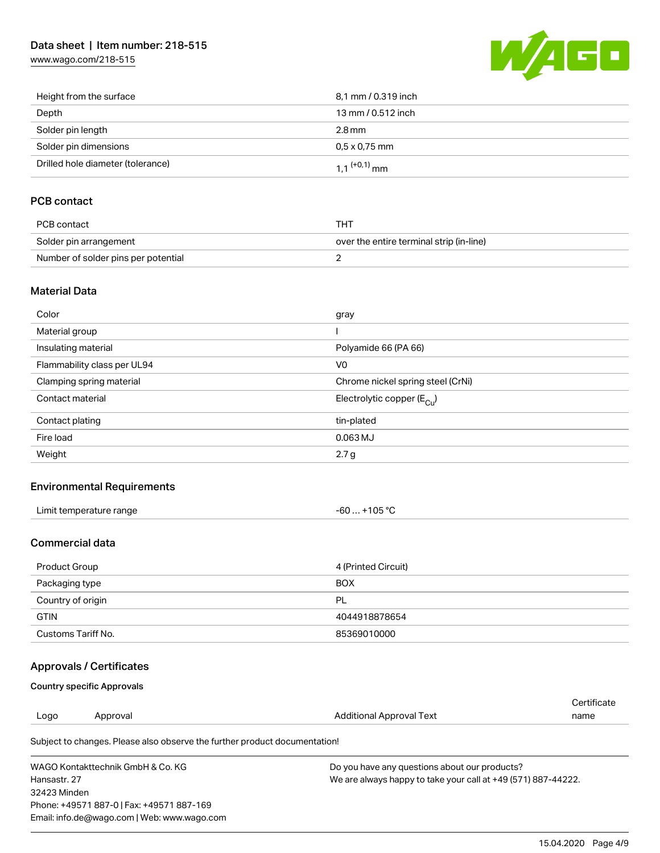## Data sheet | Item number: 218-515

[www.wago.com/218-515](http://www.wago.com/218-515)



| Height from the surface           | 8,1 mm / 0.319 inch        |
|-----------------------------------|----------------------------|
| Depth                             | 13 mm / 0.512 inch         |
| Solder pin length                 | 2.8 mm                     |
| Solder pin dimensions             | $0.5 \times 0.75$ mm       |
| Drilled hole diameter (tolerance) | $1.1$ <sup>(+0,1)</sup> mm |

## PCB contact

| PCB contact                         | тнт                                      |
|-------------------------------------|------------------------------------------|
| Solder pin arrangement              | over the entire terminal strip (in-line) |
| Number of solder pins per potential |                                          |

#### Material Data

| Color                       | gray                                  |
|-----------------------------|---------------------------------------|
| Material group              |                                       |
| Insulating material         | Polyamide 66 (PA 66)                  |
| Flammability class per UL94 | V <sub>0</sub>                        |
| Clamping spring material    | Chrome nickel spring steel (CrNi)     |
| Contact material            | Electrolytic copper $(E_{\text{Cl}})$ |
| Contact plating             | tin-plated                            |
| Fire load                   | $0.063$ MJ                            |
| Weight                      | 2.7 <sub>g</sub>                      |

#### Environmental Requirements

| Limit temperature range | +105 $^{\circ}$ C |
|-------------------------|-------------------|
|                         | -60               |
| .                       |                   |

#### Commercial data

| Product Group      | 4 (Printed Circuit) |
|--------------------|---------------------|
| Packaging type     | <b>BOX</b>          |
| Country of origin  | PL                  |
| <b>GTIN</b>        | 4044918878654       |
| Customs Tariff No. | 85369010000         |

## Approvals / Certificates

#### Country specific Approvals

Phone: +49571 887-0 | Fax: +49571 887-169 Email: info.de@wago.com | Web: www.wago.com

| Logo                              | Approval                                                                   | Additional Approval Text                                      | Certificate<br>name |
|-----------------------------------|----------------------------------------------------------------------------|---------------------------------------------------------------|---------------------|
|                                   | Subject to changes. Please also observe the further product documentation! |                                                               |                     |
| WAGO Kontakttechnik GmbH & Co. KG |                                                                            | Do you have any questions about our products?                 |                     |
| Hansastr, 27                      |                                                                            | We are always happy to take your call at +49 (571) 887-44222. |                     |
| 32423 Minden                      |                                                                            |                                                               |                     |

15.04.2020 Page 4/9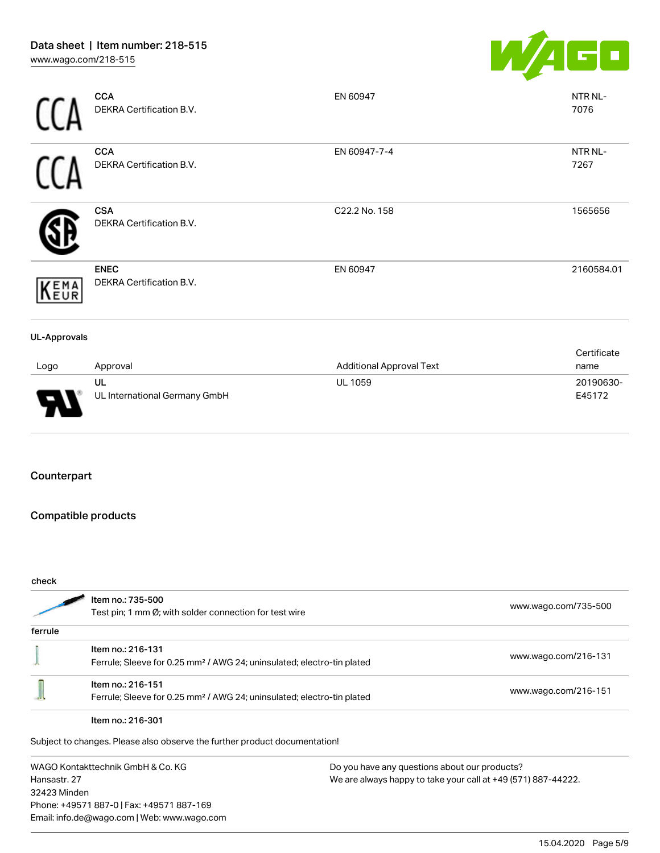

|                     | <b>CCA</b><br>DEKRA Certification B.V.  | EN 60947                        | NTR NL-<br>7076 |
|---------------------|-----------------------------------------|---------------------------------|-----------------|
|                     | <b>CCA</b><br>DEKRA Certification B.V.  | EN 60947-7-4                    | NTR NL-<br>7267 |
|                     | <b>CSA</b><br>DEKRA Certification B.V.  | C22.2 No. 158                   | 1565656         |
| KEMA                | <b>ENEC</b><br>DEKRA Certification B.V. | EN 60947                        | 2160584.01      |
| <b>UL-Approvals</b> |                                         |                                 |                 |
|                     |                                         |                                 | Certificate     |
| Logo                | Approval                                | <b>Additional Approval Text</b> | name            |
|                     | UL                                      | <b>UL 1059</b>                  | 20190630-       |



UL UL International Germany GmbH

## Counterpart

## Compatible products

| check                             |                                                                                    |                                                               |                      |
|-----------------------------------|------------------------------------------------------------------------------------|---------------------------------------------------------------|----------------------|
|                                   | Item no.: 735-500                                                                  |                                                               |                      |
|                                   | Test pin; 1 mm $\varnothing$ ; with solder connection for test wire                |                                                               | www.wago.com/735-500 |
| ferrule                           |                                                                                    |                                                               |                      |
|                                   | Item no.: 216-131                                                                  |                                                               |                      |
|                                   | Ferrule; Sleeve for 0.25 mm <sup>2</sup> / AWG 24; uninsulated; electro-tin plated |                                                               | www.wago.com/216-131 |
|                                   | Item no.: 216-151                                                                  |                                                               |                      |
|                                   | Ferrule; Sleeve for 0.25 mm <sup>2</sup> / AWG 24; uninsulated; electro-tin plated |                                                               | www.wago.com/216-151 |
|                                   | Item no.: 216-301                                                                  |                                                               |                      |
|                                   | Subject to changes. Please also observe the further product documentation!         |                                                               |                      |
| WAGO Kontakttechnik GmbH & Co. KG |                                                                                    | Do you have any questions about our products?                 |                      |
| Hansastr, 27                      |                                                                                    | We are always happy to take your call at +49 (571) 887-44222. |                      |
| 32423 Minden                      |                                                                                    |                                                               |                      |
|                                   | Phone: +49571 887-0   Fax: +49571 887-169                                          |                                                               |                      |
|                                   | Email: info.de@wago.com   Web: www.wago.com                                        |                                                               |                      |

E45172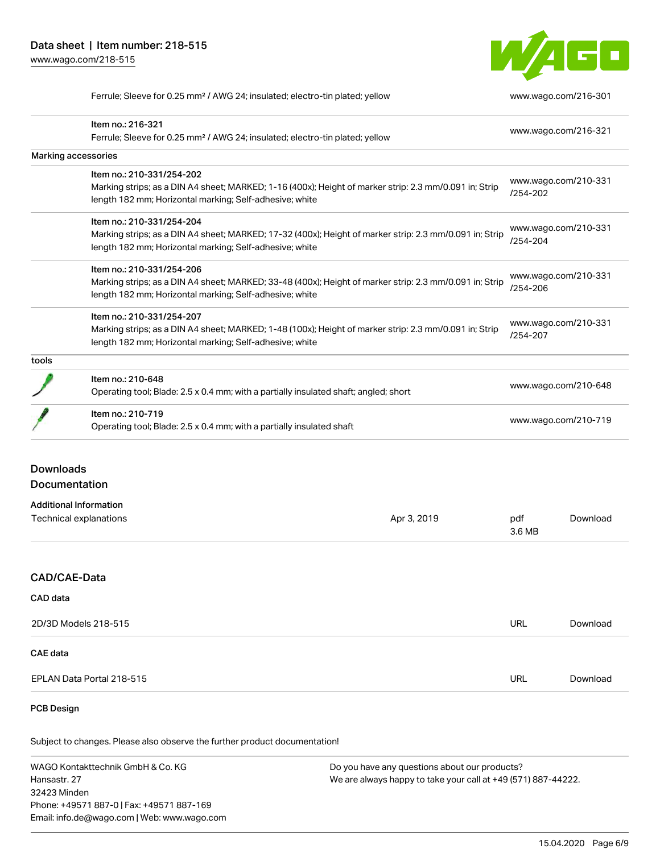32423 Minden

Phone: +49571 887-0 | Fax: +49571 887-169 Email: info.de@wago.com | Web: www.wago.com



Ferrule; Sleeve for 0.25 mm² / AWG 24; insulated; electro-tin plated; yellow [www.wago.com/216-301](http://www.wago.com/216-301)

|                                                   | Item no.: 216-321<br>Ferrule; Sleeve for 0.25 mm <sup>2</sup> / AWG 24; insulated; electro-tin plated; yellow                                                      |                                                                                                                |                                  | www.wago.com/216-321 |  |
|---------------------------------------------------|--------------------------------------------------------------------------------------------------------------------------------------------------------------------|----------------------------------------------------------------------------------------------------------------|----------------------------------|----------------------|--|
|                                                   | Marking accessories                                                                                                                                                |                                                                                                                |                                  |                      |  |
|                                                   | Item no.: 210-331/254-202                                                                                                                                          |                                                                                                                |                                  |                      |  |
|                                                   | Marking strips; as a DIN A4 sheet; MARKED; 1-16 (400x); Height of marker strip: 2.3 mm/0.091 in; Strip                                                             |                                                                                                                | /254-202                         | www.wago.com/210-331 |  |
|                                                   | length 182 mm; Horizontal marking; Self-adhesive; white                                                                                                            |                                                                                                                |                                  |                      |  |
|                                                   | Item no.: 210-331/254-204                                                                                                                                          |                                                                                                                | www.wago.com/210-331             |                      |  |
|                                                   | Marking strips; as a DIN A4 sheet; MARKED; 17-32 (400x); Height of marker strip: 2.3 mm/0.091 in; Strip<br>length 182 mm; Horizontal marking; Self-adhesive; white |                                                                                                                | /254-204                         |                      |  |
|                                                   | Item no.: 210-331/254-206                                                                                                                                          |                                                                                                                |                                  |                      |  |
|                                                   | Marking strips; as a DIN A4 sheet; MARKED; 33-48 (400x); Height of marker strip: 2.3 mm/0.091 in; Strip<br>length 182 mm; Horizontal marking; Self-adhesive; white |                                                                                                                | www.wago.com/210-331<br>/254-206 |                      |  |
|                                                   | Item no.: 210-331/254-207                                                                                                                                          |                                                                                                                | www.wago.com/210-331             |                      |  |
|                                                   | Marking strips; as a DIN A4 sheet; MARKED; 1-48 (100x); Height of marker strip: 2.3 mm/0.091 in; Strip<br>length 182 mm; Horizontal marking; Self-adhesive; white  |                                                                                                                | /254-207                         |                      |  |
| tools                                             |                                                                                                                                                                    |                                                                                                                |                                  |                      |  |
|                                                   | Item no.: 210-648<br>Operating tool; Blade: 2.5 x 0.4 mm; with a partially insulated shaft; angled; short                                                          |                                                                                                                | www.wago.com/210-648             |                      |  |
|                                                   | Item no.: 210-719<br>Operating tool; Blade: 2.5 x 0.4 mm; with a partially insulated shaft                                                                         |                                                                                                                | www.wago.com/210-719             |                      |  |
| <b>Documentation</b>                              | <b>Additional Information</b><br>Technical explanations                                                                                                            | Apr 3, 2019                                                                                                    | pdf<br>3.6 MB                    | Download             |  |
| CAD/CAE-Data                                      |                                                                                                                                                                    |                                                                                                                |                                  |                      |  |
| CAD data                                          |                                                                                                                                                                    |                                                                                                                |                                  |                      |  |
| 2D/3D Models 218-515                              |                                                                                                                                                                    |                                                                                                                | <b>URL</b>                       | Download             |  |
| <b>CAE</b> data                                   |                                                                                                                                                                    |                                                                                                                |                                  |                      |  |
|                                                   | EPLAN Data Portal 218-515                                                                                                                                          |                                                                                                                | <b>URL</b>                       | Download             |  |
| <b>PCB Design</b>                                 |                                                                                                                                                                    |                                                                                                                |                                  |                      |  |
|                                                   | Subject to changes. Please also observe the further product documentation!                                                                                         |                                                                                                                |                                  |                      |  |
| WAGO Kontakttechnik GmbH & Co. KG<br>Hansastr. 27 |                                                                                                                                                                    | Do you have any questions about our products?<br>We are always happy to take your call at +49 (571) 887-44222. |                                  |                      |  |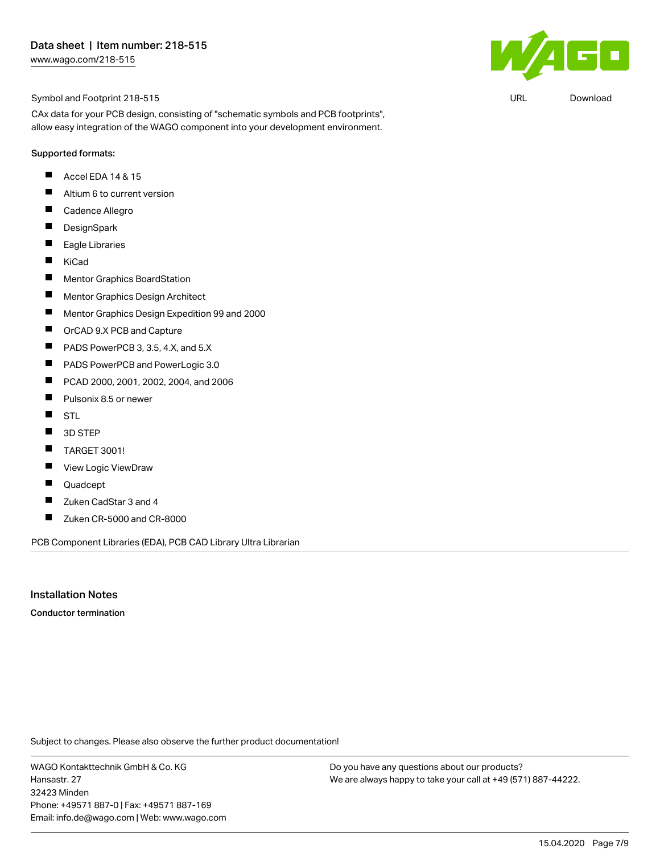

CAx data for your PCB design, consisting of "schematic symbols and PCB footprints", allow easy integration of the WAGO component into your development environment.

#### Supported formats:

- П Accel EDA 14 & 15
- $\blacksquare$ Altium 6 to current version
- $\blacksquare$ Cadence Allegro
- $\blacksquare$ **DesignSpark**
- $\blacksquare$ Eagle Libraries
- $\blacksquare$ KiCad
- $\blacksquare$ Mentor Graphics BoardStation
- $\blacksquare$ Mentor Graphics Design Architect
- $\blacksquare$ Mentor Graphics Design Expedition 99 and 2000
- П OrCAD 9.X PCB and Capture
- П PADS PowerPCB 3, 3.5, 4.X, and 5.X
- $\blacksquare$ PADS PowerPCB and PowerLogic 3.0
- $\blacksquare$ PCAD 2000, 2001, 2002, 2004, and 2006
- $\blacksquare$ Pulsonix 8.5 or newer
- $\blacksquare$ STL
- $\blacksquare$ 3D STEP
- $\blacksquare$ TARGET 3001!
- $\blacksquare$ View Logic ViewDraw
- П Quadcept
- $\blacksquare$ Zuken CadStar 3 and 4
- $\blacksquare$ Zuken CR-5000 and CR-8000

PCB Component Libraries (EDA), PCB CAD Library Ultra Librarian

Installation Notes

Conductor termination

Subject to changes. Please also observe the further product documentation!

WAGO Kontakttechnik GmbH & Co. KG Hansastr. 27 32423 Minden Phone: +49571 887-0 | Fax: +49571 887-169 Email: info.de@wago.com | Web: www.wago.com Do you have any questions about our products? We are always happy to take your call at +49 (571) 887-44222.



URL [Download](https://www.wago.com/de/d/UltraLibrarian_URLS_218-515)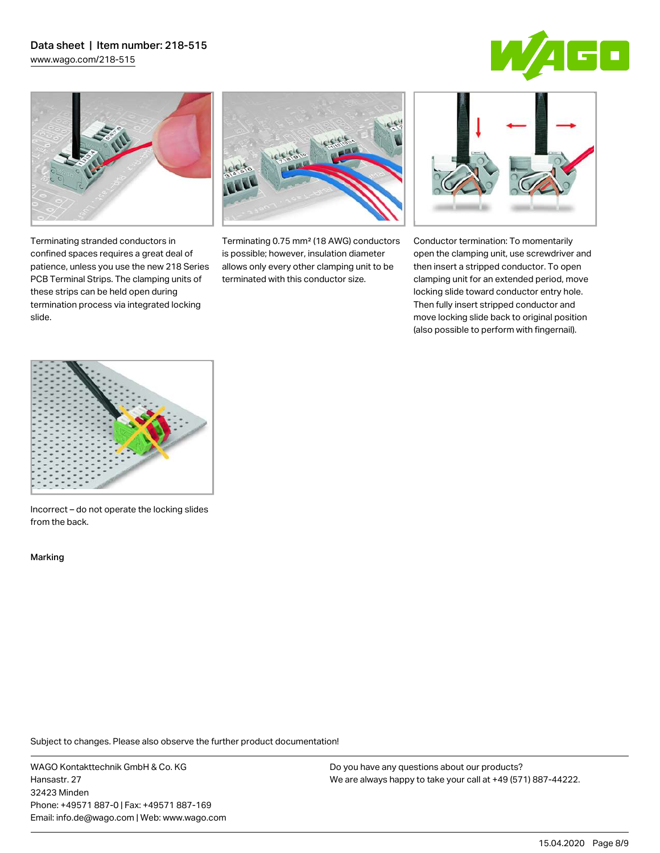# Data sheet | Item number: 218-515

[www.wago.com/218-515](http://www.wago.com/218-515)





Terminating stranded conductors in confined spaces requires a great deal of patience, unless you use the new 218 Series PCB Terminal Strips. The clamping units of these strips can be held open during termination process via integrated locking

Terminating 0.75 mm² (18 AWG) conductors is possible; however, insulation diameter allows only every other clamping unit to be terminated with this conductor size.



Conductor termination: To momentarily open the clamping unit, use screwdriver and then insert a stripped conductor. To open clamping unit for an extended period, move locking slide toward conductor entry hole. Then fully insert stripped conductor and move locking slide back to original position (also possible to perform with fingernail).



Incorrect – do not operate the locking slides from the back.

Marking

slide.

Subject to changes. Please also observe the further product documentation!

WAGO Kontakttechnik GmbH & Co. KG Hansastr. 27 32423 Minden Phone: +49571 887-0 | Fax: +49571 887-169 Email: info.de@wago.com | Web: www.wago.com